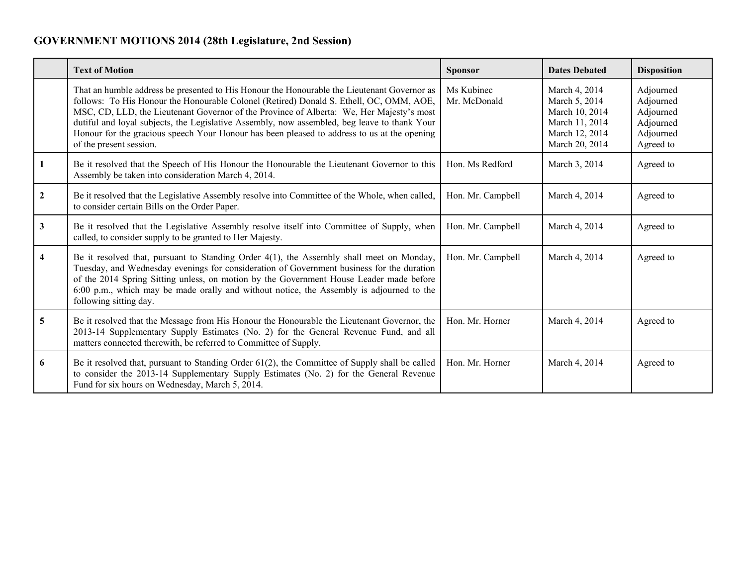## **GOVERNMENT MOTIONS 2014 (28th Legislature, 2nd Session)**

|              | <b>Text of Motion</b>                                                                                                                                                                                                                                                                                                                                                                                                                                                                                        | <b>Sponsor</b>             | <b>Dates Debated</b>                                                                                   | <b>Disposition</b>                                                         |
|--------------|--------------------------------------------------------------------------------------------------------------------------------------------------------------------------------------------------------------------------------------------------------------------------------------------------------------------------------------------------------------------------------------------------------------------------------------------------------------------------------------------------------------|----------------------------|--------------------------------------------------------------------------------------------------------|----------------------------------------------------------------------------|
|              | That an humble address be presented to His Honour the Honourable the Lieutenant Governor as<br>follows: To His Honour the Honourable Colonel (Retired) Donald S. Ethell, OC, OMM, AOE,<br>MSC, CD, LLD, the Lieutenant Governor of the Province of Alberta: We, Her Majesty's most<br>dutiful and loyal subjects, the Legislative Assembly, now assembled, beg leave to thank Your<br>Honour for the gracious speech Your Honour has been pleased to address to us at the opening<br>of the present session. | Ms Kubinec<br>Mr. McDonald | March 4, 2014<br>March 5, 2014<br>March 10, 2014<br>March 11, 2014<br>March 12, 2014<br>March 20, 2014 | Adjourned<br>Adjourned<br>Adjourned<br>Adjourned<br>Adjourned<br>Agreed to |
| 1            | Be it resolved that the Speech of His Honour the Honourable the Lieutenant Governor to this<br>Assembly be taken into consideration March 4, 2014.                                                                                                                                                                                                                                                                                                                                                           | Hon. Ms Redford            | March 3, 2014                                                                                          | Agreed to                                                                  |
| $\mathbf{2}$ | Be it resolved that the Legislative Assembly resolve into Committee of the Whole, when called,<br>to consider certain Bills on the Order Paper.                                                                                                                                                                                                                                                                                                                                                              | Hon. Mr. Campbell          | March 4, 2014                                                                                          | Agreed to                                                                  |
| $\mathbf{3}$ | Be it resolved that the Legislative Assembly resolve itself into Committee of Supply, when<br>called, to consider supply to be granted to Her Majesty.                                                                                                                                                                                                                                                                                                                                                       | Hon. Mr. Campbell          | March 4, 2014                                                                                          | Agreed to                                                                  |
| 4            | Be it resolved that, pursuant to Standing Order 4(1), the Assembly shall meet on Monday,<br>Tuesday, and Wednesday evenings for consideration of Government business for the duration<br>of the 2014 Spring Sitting unless, on motion by the Government House Leader made before<br>6:00 p.m., which may be made orally and without notice, the Assembly is adjourned to the<br>following sitting day.                                                                                                       | Hon. Mr. Campbell          | March 4, 2014                                                                                          | Agreed to                                                                  |
| 5            | Be it resolved that the Message from His Honour the Honourable the Lieutenant Governor, the<br>2013-14 Supplementary Supply Estimates (No. 2) for the General Revenue Fund, and all<br>matters connected therewith, be referred to Committee of Supply.                                                                                                                                                                                                                                                      | Hon. Mr. Horner            | March 4, 2014                                                                                          | Agreed to                                                                  |
| 6            | Be it resolved that, pursuant to Standing Order $61(2)$ , the Committee of Supply shall be called<br>to consider the 2013-14 Supplementary Supply Estimates (No. 2) for the General Revenue<br>Fund for six hours on Wednesday, March 5, 2014.                                                                                                                                                                                                                                                               | Hon. Mr. Horner            | March 4, 2014                                                                                          | Agreed to                                                                  |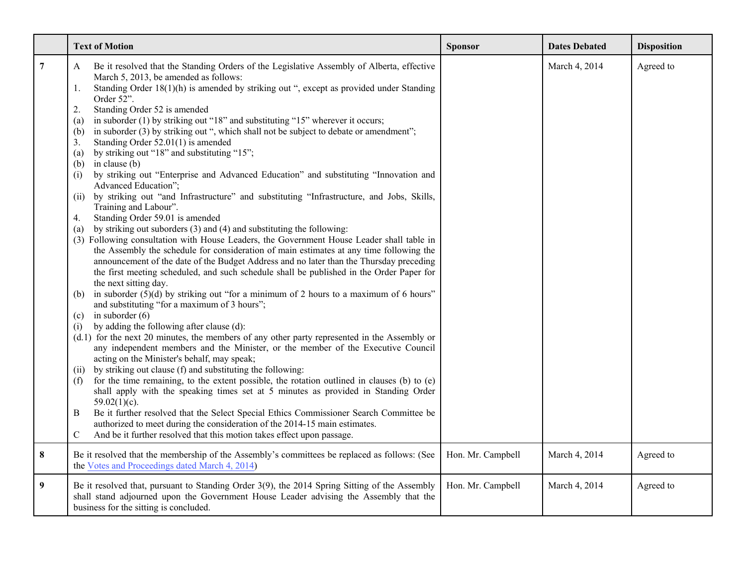|                | <b>Text of Motion</b>                                                                                                                                                                                                                                                                                                                                                                                                                                                                                                                                                                                                                                                                                                                                                                                                                                                                                                                                                                                                                                                                                                                                                                                                                                                                                                                                                                                                                                                                                                                                                                                                                                                                                                                                                                                                                                                                                                                                                                                                                                                                                                                                                                                                                                                                                                                                                                                                                         | <b>Sponsor</b>    | <b>Dates Debated</b> | <b>Disposition</b> |
|----------------|-----------------------------------------------------------------------------------------------------------------------------------------------------------------------------------------------------------------------------------------------------------------------------------------------------------------------------------------------------------------------------------------------------------------------------------------------------------------------------------------------------------------------------------------------------------------------------------------------------------------------------------------------------------------------------------------------------------------------------------------------------------------------------------------------------------------------------------------------------------------------------------------------------------------------------------------------------------------------------------------------------------------------------------------------------------------------------------------------------------------------------------------------------------------------------------------------------------------------------------------------------------------------------------------------------------------------------------------------------------------------------------------------------------------------------------------------------------------------------------------------------------------------------------------------------------------------------------------------------------------------------------------------------------------------------------------------------------------------------------------------------------------------------------------------------------------------------------------------------------------------------------------------------------------------------------------------------------------------------------------------------------------------------------------------------------------------------------------------------------------------------------------------------------------------------------------------------------------------------------------------------------------------------------------------------------------------------------------------------------------------------------------------------------------------------------------------|-------------------|----------------------|--------------------|
| $\overline{7}$ | Be it resolved that the Standing Orders of the Legislative Assembly of Alberta, effective<br>A<br>March 5, 2013, be amended as follows:<br>Standing Order $18(1)(h)$ is amended by striking out ", except as provided under Standing<br>1.<br>Order 52".<br>Standing Order 52 is amended<br>2.<br>in suborder $(1)$ by striking out "18" and substituting "15" wherever it occurs;<br>(a)<br>in suborder (3) by striking out ", which shall not be subject to debate or amendment";<br>(b)<br>Standing Order 52.01(1) is amended<br>3.<br>by striking out "18" and substituting "15";<br>(a)<br>in clause (b)<br>(b)<br>by striking out "Enterprise and Advanced Education" and substituting "Innovation and<br>(i)<br>Advanced Education";<br>by striking out "and Infrastructure" and substituting "Infrastructure, and Jobs, Skills,<br>(ii)<br>Training and Labour".<br>Standing Order 59.01 is amended<br>4.<br>by striking out suborders $(3)$ and $(4)$ and substituting the following:<br>(a)<br>(3) Following consultation with House Leaders, the Government House Leader shall table in<br>the Assembly the schedule for consideration of main estimates at any time following the<br>announcement of the date of the Budget Address and no later than the Thursday preceding<br>the first meeting scheduled, and such schedule shall be published in the Order Paper for<br>the next sitting day.<br>in suborder $(5)(d)$ by striking out "for a minimum of 2 hours to a maximum of 6 hours"<br>(b)<br>and substituting "for a maximum of 3 hours";<br>in suborder $(6)$<br>(c)<br>by adding the following after clause (d):<br>(i)<br>(d.1) for the next 20 minutes, the members of any other party represented in the Assembly or<br>any independent members and the Minister, or the member of the Executive Council<br>acting on the Minister's behalf, may speak;<br>by striking out clause (f) and substituting the following:<br>(ii)<br>for the time remaining, to the extent possible, the rotation outlined in clauses (b) to (e)<br>(f)<br>shall apply with the speaking times set at 5 minutes as provided in Standing Order<br>$59.02(1)(c)$ .<br>Be it further resolved that the Select Special Ethics Commissioner Search Committee be<br>B<br>authorized to meet during the consideration of the 2014-15 main estimates.<br>$\mathbf C$<br>And be it further resolved that this motion takes effect upon passage. |                   | March 4, 2014        | Agreed to          |
| 8              | Be it resolved that the membership of the Assembly's committees be replaced as follows: (See<br>the Votes and Proceedings dated March 4, 2014)                                                                                                                                                                                                                                                                                                                                                                                                                                                                                                                                                                                                                                                                                                                                                                                                                                                                                                                                                                                                                                                                                                                                                                                                                                                                                                                                                                                                                                                                                                                                                                                                                                                                                                                                                                                                                                                                                                                                                                                                                                                                                                                                                                                                                                                                                                | Hon. Mr. Campbell | March 4, 2014        | Agreed to          |
| 9              | Be it resolved that, pursuant to Standing Order 3(9), the 2014 Spring Sitting of the Assembly<br>shall stand adjourned upon the Government House Leader advising the Assembly that the<br>business for the sitting is concluded.                                                                                                                                                                                                                                                                                                                                                                                                                                                                                                                                                                                                                                                                                                                                                                                                                                                                                                                                                                                                                                                                                                                                                                                                                                                                                                                                                                                                                                                                                                                                                                                                                                                                                                                                                                                                                                                                                                                                                                                                                                                                                                                                                                                                              | Hon. Mr. Campbell | March 4, 2014        | Agreed to          |